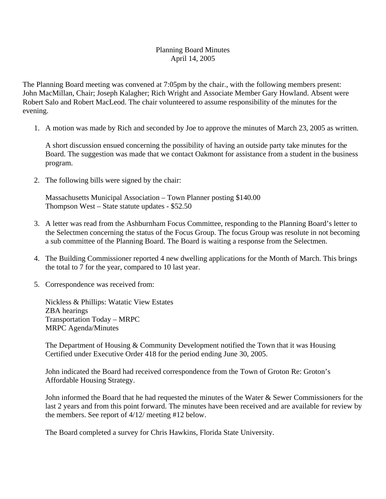## Planning Board Minutes April 14, 2005

The Planning Board meeting was convened at 7:05pm by the chair., with the following members present: John MacMillan, Chair; Joseph Kalagher; Rich Wright and Associate Member Gary Howland. Absent were Robert Salo and Robert MacLeod. The chair volunteered to assume responsibility of the minutes for the evening.

1. A motion was made by Rich and seconded by Joe to approve the minutes of March 23, 2005 as written.

A short discussion ensued concerning the possibility of having an outside party take minutes for the Board. The suggestion was made that we contact Oakmont for assistance from a student in the business program.

2. The following bills were signed by the chair:

Massachusetts Municipal Association – Town Planner posting \$140.00 Thompson West – State statute updates - \$52.50

- 3. A letter was read from the Ashburnham Focus Committee, responding to the Planning Board's letter to the Selectmen concerning the status of the Focus Group. The focus Group was resolute in not becoming a sub committee of the Planning Board. The Board is waiting a response from the Selectmen.
- 4. The Building Commissioner reported 4 new dwelling applications for the Month of March. This brings the total to 7 for the year, compared to 10 last year.
- 5. Correspondence was received from:

Nickless & Phillips: Watatic View Estates ZBA hearings Transportation Today – MRPC MRPC Agenda/Minutes

The Department of Housing & Community Development notified the Town that it was Housing Certified under Executive Order 418 for the period ending June 30, 2005.

John indicated the Board had received correspondence from the Town of Groton Re: Groton's Affordable Housing Strategy.

John informed the Board that he had requested the minutes of the Water & Sewer Commissioners for the last 2 years and from this point forward. The minutes have been received and are available for review by the members. See report of 4/12/ meeting #12 below.

The Board completed a survey for Chris Hawkins, Florida State University.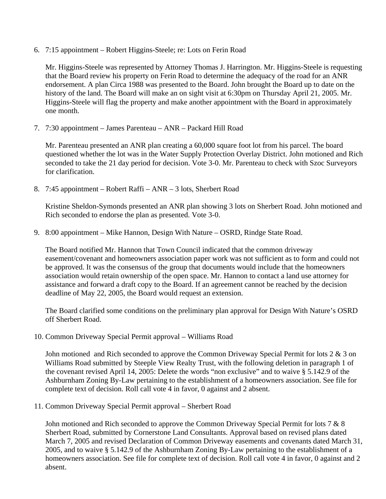6. 7:15 appointment – Robert Higgins-Steele; re: Lots on Ferin Road

Mr. Higgins-Steele was represented by Attorney Thomas J. Harrington. Mr. Higgins-Steele is requesting that the Board review his property on Ferin Road to determine the adequacy of the road for an ANR endorsement. A plan Circa 1988 was presented to the Board. John brought the Board up to date on the history of the land. The Board will make an on sight visit at 6:30pm on Thursday April 21, 2005. Mr. Higgins-Steele will flag the property and make another appointment with the Board in approximately one month.

7. 7:30 appointment – James Parenteau – ANR – Packard Hill Road

Mr. Parenteau presented an ANR plan creating a 60,000 square foot lot from his parcel. The board questioned whether the lot was in the Water Supply Protection Overlay District. John motioned and Rich seconded to take the 21 day period for decision. Vote 3-0. Mr. Parenteau to check with Szoc Surveyors for clarification.

8. 7:45 appointment – Robert Raffi – ANR – 3 lots, Sherbert Road

Kristine Sheldon-Symonds presented an ANR plan showing 3 lots on Sherbert Road. John motioned and Rich seconded to endorse the plan as presented. Vote 3-0.

9. 8:00 appointment – Mike Hannon, Design With Nature – OSRD, Rindge State Road.

The Board notified Mr. Hannon that Town Council indicated that the common driveway easement/covenant and homeowners association paper work was not sufficient as to form and could not be approved. It was the consensus of the group that documents would include that the homeowners association would retain ownership of the open space. Mr. Hannon to contact a land use attorney for assistance and forward a draft copy to the Board. If an agreement cannot be reached by the decision deadline of May 22, 2005, the Board would request an extension.

The Board clarified some conditions on the preliminary plan approval for Design With Nature's OSRD off Sherbert Road.

10. Common Driveway Special Permit approval – Williams Road

John motioned and Rich seconded to approve the Common Driveway Special Permit for lots 2 & 3 on Williams Road submitted by Steeple View Realty Trust, with the following deletion in paragraph 1 of the covenant revised April 14, 2005: Delete the words "non exclusive" and to waive § 5.142.9 of the Ashburnham Zoning By-Law pertaining to the establishment of a homeowners association. See file for complete text of decision. Roll call vote 4 in favor, 0 against and 2 absent.

11. Common Driveway Special Permit approval – Sherbert Road

John motioned and Rich seconded to approve the Common Driveway Special Permit for lots 7 & 8 Sherbert Road, submitted by Cornerstone Land Consultants. Approval based on revised plans dated March 7, 2005 and revised Declaration of Common Driveway easements and covenants dated March 31, 2005, and to waive § 5.142.9 of the Ashburnham Zoning By-Law pertaining to the establishment of a homeowners association. See file for complete text of decision. Roll call vote 4 in favor, 0 against and 2 absent.